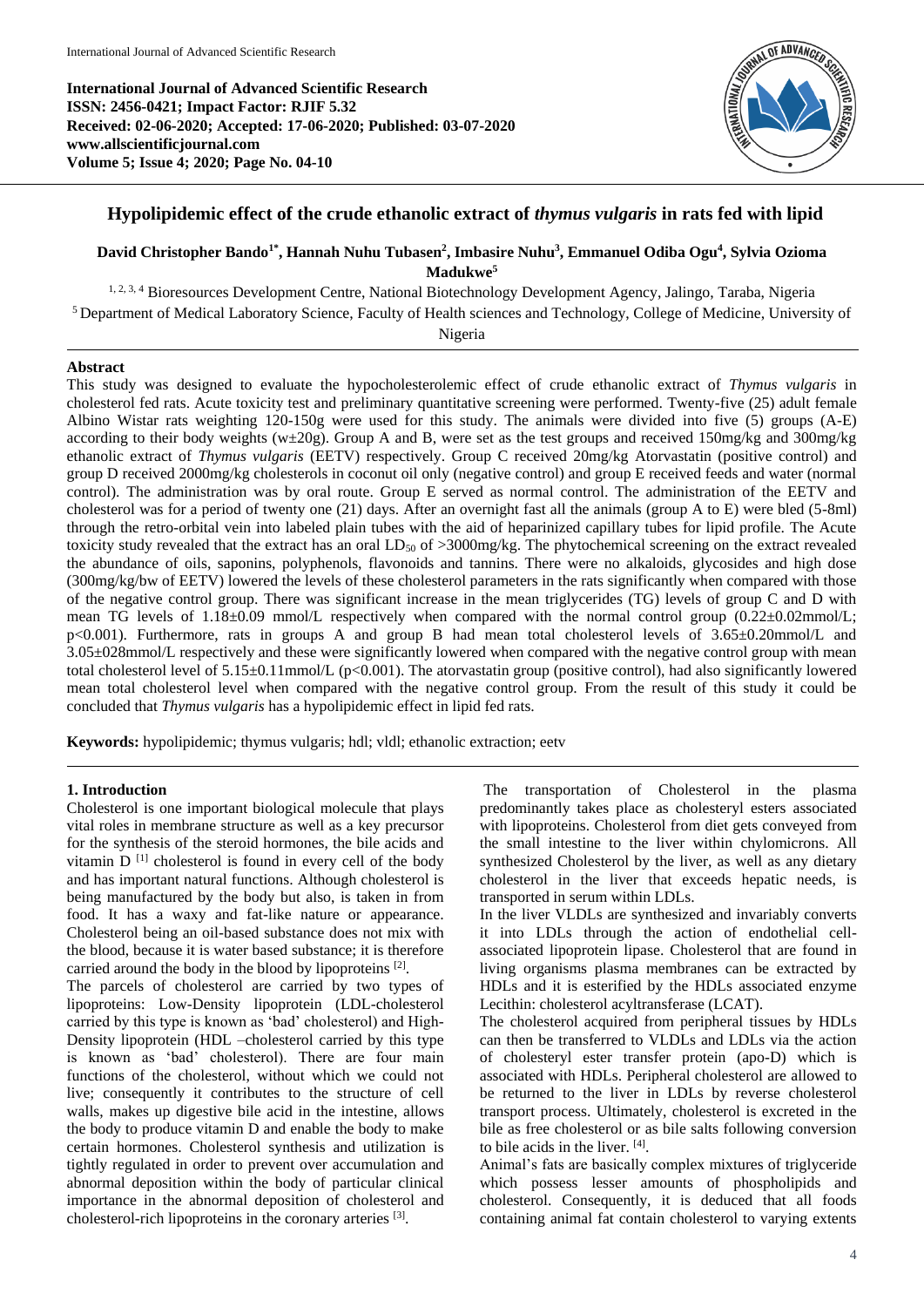**International Journal of Advanced Scientific Research ISSN: 2456-0421; Impact Factor: RJIF 5.32 Received: 02-06-2020; Accepted: 17-06-2020; Published: 03-07-2020 www.allscientificjournal.com Volume 5; Issue 4; 2020; Page No. 04-10**



# **Hypolipidemic effect of the crude ethanolic extract of** *thymus vulgaris* **in rats fed with lipid**

# **David Christopher Bando1\* , Hannah Nuhu Tubasen<sup>2</sup> , Imbasire Nuhu<sup>3</sup> , Emmanuel Odiba Ogu<sup>4</sup> , Sylvia Ozioma Madukwe<sup>5</sup>**

1, 2, 3, 4 Bioresources Development Centre, National Biotechnology Development Agency, Jalingo, Taraba, Nigeria

<sup>5</sup>Department of Medical Laboratory Science, Faculty of Health sciences and Technology, College of Medicine, University of

Nigeria

# **Abstract**

This study was designed to evaluate the hypocholesterolemic effect of crude ethanolic extract of *Thymus vulgaris* in cholesterol fed rats. Acute toxicity test and preliminary quantitative screening were performed. Twenty-five (25) adult female Albino Wistar rats weighting 120-150g were used for this study. The animals were divided into five (5) groups (A-E) according to their body weights (w $\pm 20g$ ). Group A and B, were set as the test groups and received 150mg/kg and 300mg/kg ethanolic extract of *Thymus vulgaris* (EETV) respectively. Group C received 20mg/kg Atorvastatin (positive control) and group D received 2000mg/kg cholesterols in coconut oil only (negative control) and group E received feeds and water (normal control). The administration was by oral route. Group E served as normal control. The administration of the EETV and cholesterol was for a period of twenty one (21) days. After an overnight fast all the animals (group A to E) were bled (5-8ml) through the retro-orbital vein into labeled plain tubes with the aid of heparinized capillary tubes for lipid profile. The Acute toxicity study revealed that the extract has an oral  $LD_{50}$  of  $>3000$ mg/kg. The phytochemical screening on the extract revealed the abundance of oils, saponins, polyphenols, flavonoids and tannins. There were no alkaloids, glycosides and high dose (300mg/kg/bw of EETV) lowered the levels of these cholesterol parameters in the rats significantly when compared with those of the negative control group. There was significant increase in the mean triglycerides (TG) levels of group C and D with mean TG levels of  $1.18\pm0.09$  mmol/L respectively when compared with the normal control group (0.22 $\pm$ 0.02mmol/L; p<0.001). Furthermore, rats in groups A and group B had mean total cholesterol levels of 3.65±0.20mmol/L and 3.05±028mmol/L respectively and these were significantly lowered when compared with the negative control group with mean total cholesterol level of  $5.15\pm0.11$ mmol/L (p<0.001). The atorvastatin group (positive control), had also significantly lowered mean total cholesterol level when compared with the negative control group. From the result of this study it could be concluded that *Thymus vulgaris* has a hypolipidemic effect in lipid fed rats.

**Keywords:** hypolipidemic; thymus vulgaris; hdl; vldl; ethanolic extraction; eetv

# **1. Introduction**

Cholesterol is one important biological molecule that plays vital roles in membrane structure as well as a key precursor for the synthesis of the steroid hormones, the bile acids and vitamin  $D^{[1]}$  cholesterol is found in every cell of the body and has important natural functions. Although cholesterol is being manufactured by the body but also, is taken in from food. It has a waxy and fat-like nature or appearance. Cholesterol being an oil-based substance does not mix with the blood, because it is water based substance; it is therefore carried around the body in the blood by lipoproteins [2].

The parcels of cholesterol are carried by two types of lipoproteins: Low-Density lipoprotein (LDL-cholesterol carried by this type is known as 'bad' cholesterol) and High-Density lipoprotein (HDL –cholesterol carried by this type is known as 'bad' cholesterol). There are four main functions of the cholesterol, without which we could not live; consequently it contributes to the structure of cell walls, makes up digestive bile acid in the intestine, allows the body to produce vitamin D and enable the body to make certain hormones. Cholesterol synthesis and utilization is tightly regulated in order to prevent over accumulation and abnormal deposition within the body of particular clinical importance in the abnormal deposition of cholesterol and cholesterol-rich lipoproteins in the coronary arteries [3].

The transportation of Cholesterol in the plasma predominantly takes place as cholesteryl esters associated with lipoproteins. Cholesterol from diet gets conveyed from the small intestine to the liver within chylomicrons. All synthesized Cholesterol by the liver, as well as any dietary cholesterol in the liver that exceeds hepatic needs, is transported in serum within LDLs.

In the liver VLDLs are synthesized and invariably converts it into LDLs through the action of endothelial cellassociated lipoprotein lipase. Cholesterol that are found in living organisms plasma membranes can be extracted by HDLs and it is esterified by the HDLs associated enzyme Lecithin: cholesterol acyltransferase (LCAT).

The cholesterol acquired from peripheral tissues by HDLs can then be transferred to VLDLs and LDLs via the action of cholesteryl ester transfer protein (apo-D) which is associated with HDLs. Peripheral cholesterol are allowed to be returned to the liver in LDLs by reverse cholesterol transport process. Ultimately, cholesterol is excreted in the bile as free cholesterol or as bile salts following conversion to bile acids in the liver. [4] .

Animal's fats are basically complex mixtures of triglyceride which possess lesser amounts of phospholipids and cholesterol. Consequently, it is deduced that all foods containing animal fat contain cholesterol to varying extents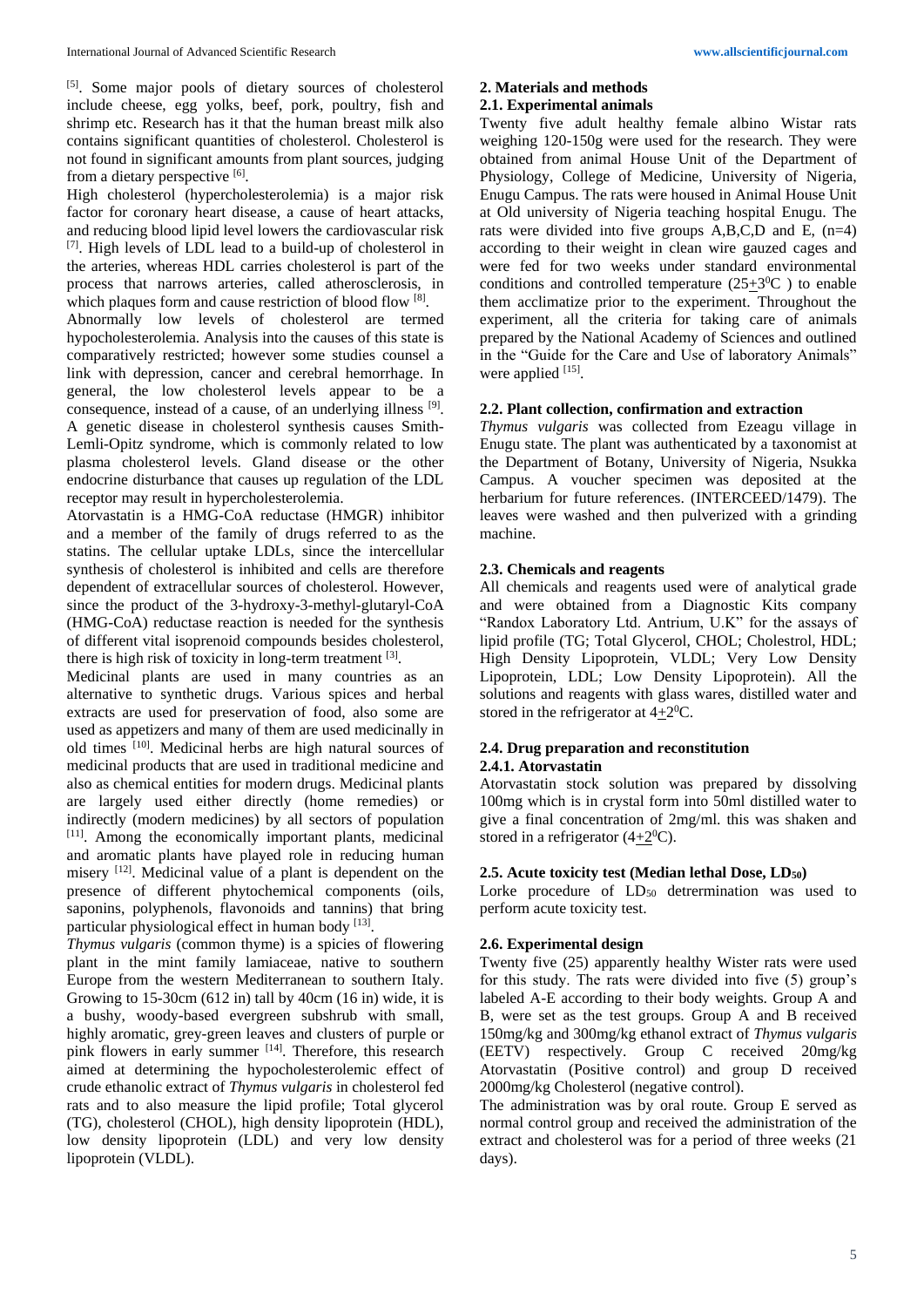[5]. Some major pools of dietary sources of cholesterol include cheese, egg yolks, beef, pork, poultry, fish and shrimp etc. Research has it that the human breast milk also contains significant quantities of cholesterol. Cholesterol is not found in significant amounts from plant sources, judging from a dietary perspective [6].

High cholesterol (hypercholesterolemia) is a major risk factor for coronary heart disease, a cause of heart attacks, and reducing blood lipid level lowers the cardiovascular risk [7]. High levels of LDL lead to a build-up of cholesterol in the arteries, whereas HDL carries cholesterol is part of the process that narrows arteries, called atherosclerosis, in which plaques form and cause restriction of blood flow [8]. Abnormally low levels of cholesterol are termed hypocholesterolemia. Analysis into the causes of this state is comparatively restricted; however some studies counsel a link with depression, cancer and cerebral hemorrhage. In general, the low cholesterol levels appear to be a consequence, instead of a cause, of an underlying illness [9]. A genetic disease in cholesterol synthesis causes Smith-Lemli-Opitz syndrome, which is commonly related to low plasma cholesterol levels. Gland disease or the other endocrine disturbance that causes up regulation of the LDL receptor may result in hypercholesterolemia.

Atorvastatin is a HMG-CoA reductase (HMGR) inhibitor and a member of the family of drugs referred to as the statins. The cellular uptake LDLs, since the intercellular synthesis of cholesterol is inhibited and cells are therefore dependent of extracellular sources of cholesterol. However, since the product of the 3-hydroxy-3-methyl-glutaryl-CoA (HMG-CoA) reductase reaction is needed for the synthesis of different vital isoprenoid compounds besides cholesterol, there is high risk of toxicity in long-term treatment [3].

Medicinal plants are used in many countries as an alternative to synthetic drugs. Various spices and herbal extracts are used for preservation of food, also some are used as appetizers and many of them are used medicinally in old times [10]. Medicinal herbs are high natural sources of medicinal products that are used in traditional medicine and also as chemical entities for modern drugs. Medicinal plants are largely used either directly (home remedies) or indirectly (modern medicines) by all sectors of population [11]. Among the economically important plants, medicinal and aromatic plants have played role in reducing human misery [12]. Medicinal value of a plant is dependent on the presence of different phytochemical components (oils, saponins, polyphenols, flavonoids and tannins) that bring particular physiological effect in human body [13].

*Thymus vulgaris* (common thyme) is a spicies of flowering plant in the mint family lamiaceae, native to southern Europe from the western Mediterranean to southern Italy. Growing to 15-30cm (612 in) tall by 40cm (16 in) wide, it is a bushy, woody-based evergreen subshrub with small, highly aromatic, grey-green leaves and clusters of purple or pink flowers in early summer [14]. Therefore, this research aimed at determining the hypocholesterolemic effect of crude ethanolic extract of *Thymus vulgaris* in cholesterol fed rats and to also measure the lipid profile; Total glycerol (TG), cholesterol (CHOL), high density lipoprotein (HDL), low density lipoprotein (LDL) and very low density lipoprotein (VLDL).

# **2. Materials and methods**

# **2.1. Experimental animals**

Twenty five adult healthy female albino Wistar rats weighing 120-150g were used for the research. They were obtained from animal House Unit of the Department of Physiology, College of Medicine, University of Nigeria, Enugu Campus. The rats were housed in Animal House Unit at Old university of Nigeria teaching hospital Enugu. The rats were divided into five groups A,B,C,D and E, (n=4) according to their weight in clean wire gauzed cages and were fed for two weeks under standard environmental conditions and controlled temperature  $(25\pm3^0C)$  to enable them acclimatize prior to the experiment. Throughout the experiment, all the criteria for taking care of animals prepared by the National Academy of Sciences and outlined in the "Guide for the Care and Use of laboratory Animals" were applied [15].

# **2.2. Plant collection, confirmation and extraction**

*Thymus vulgaris* was collected from Ezeagu village in Enugu state. The plant was authenticated by a taxonomist at the Department of Botany, University of Nigeria, Nsukka Campus. A voucher specimen was deposited at the herbarium for future references. (INTERCEED/1479). The leaves were washed and then pulverized with a grinding machine.

# **2.3. Chemicals and reagents**

All chemicals and reagents used were of analytical grade and were obtained from a Diagnostic Kits company "Randox Laboratory Ltd. Antrium, U.K" for the assays of lipid profile (TG; Total Glycerol, CHOL; Cholestrol, HDL; High Density Lipoprotein, VLDL; Very Low Density Lipoprotein, LDL; Low Density Lipoprotein). All the solutions and reagents with glass wares, distilled water and stored in the refrigerator at  $4\pm 2^{0}C$ .

# **2.4. Drug preparation and reconstitution**

# **2.4.1. Atorvastatin**

Atorvastatin stock solution was prepared by dissolving 100mg which is in crystal form into 50ml distilled water to give a final concentration of 2mg/ml. this was shaken and stored in a refrigerator  $(4+2^0C)$ .

# **2.5. Acute toxicity test (Median lethal Dose, LD50)**

Lorke procedure of  $LD_{50}$  detrermination was used to perform acute toxicity test.

# **2.6. Experimental design**

Twenty five (25) apparently healthy Wister rats were used for this study. The rats were divided into five (5) group's labeled A-E according to their body weights. Group A and B, were set as the test groups. Group A and B received 150mg/kg and 300mg/kg ethanol extract of *Thymus vulgaris* (EETV) respectively. Group C received 20mg/kg Atorvastatin (Positive control) and group D received 2000mg/kg Cholesterol (negative control).

The administration was by oral route. Group E served as normal control group and received the administration of the extract and cholesterol was for a period of three weeks (21 days).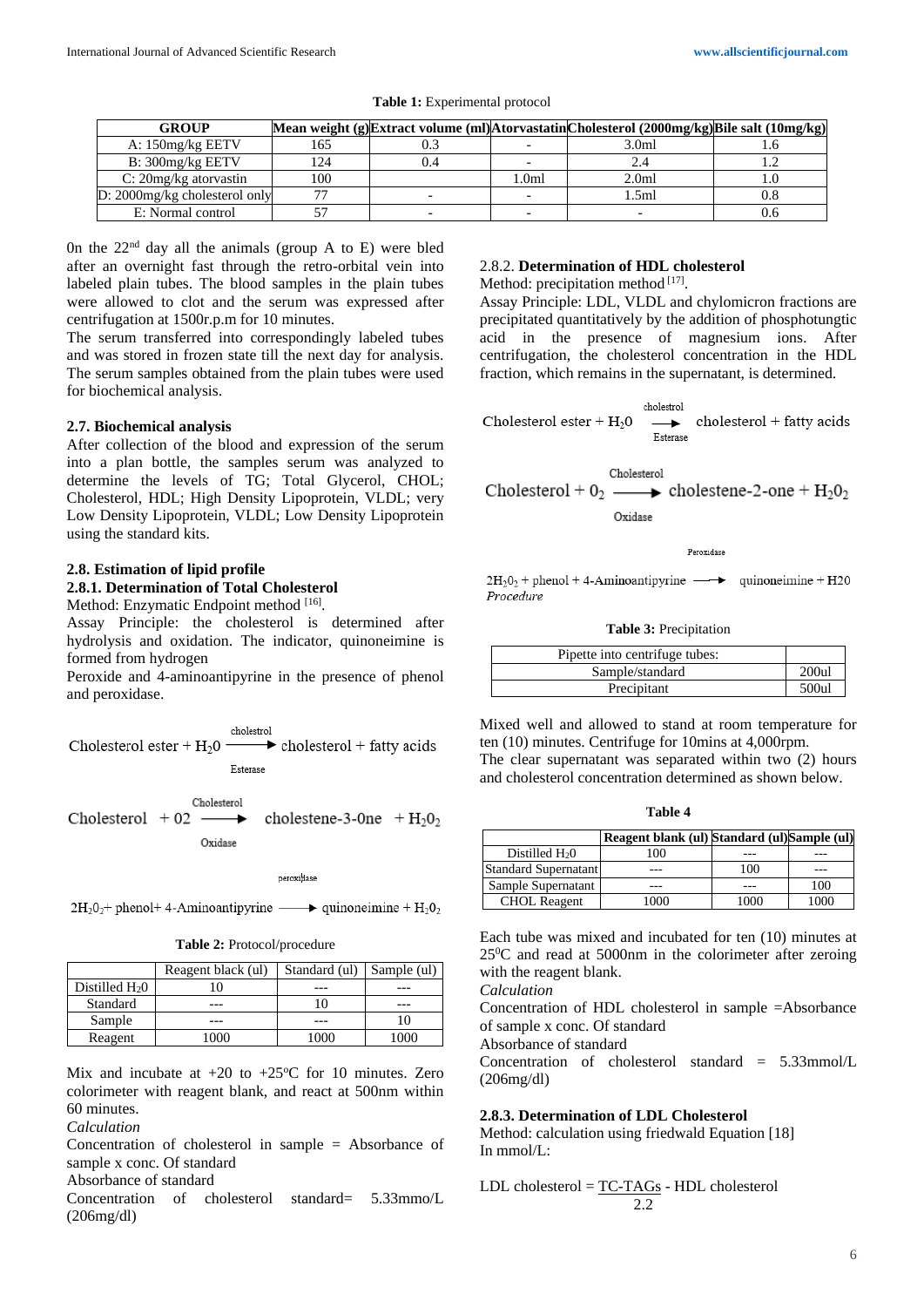| <b>GROUP</b>                     |                |     |        | Mean weight (g)Extract volume (ml)AtorvastatinCholesterol (2000mg/kg)Bile salt (10mg/kg) |  |
|----------------------------------|----------------|-----|--------|------------------------------------------------------------------------------------------|--|
| A: 150mg/kg EETV                 | 165            |     |        | 3.0ml                                                                                    |  |
| B: 300mg/kg EETV                 | 24             | 0.4 |        |                                                                                          |  |
| $C: 20mg/kg$ atorvastin          | 100            |     | l .0ml | 2.0 <sub>ml</sub>                                                                        |  |
| $D: 2000$ mg/kg cholesterol only | $\overline{ }$ |     |        | .5ml                                                                                     |  |
| E: Normal control                |                |     |        |                                                                                          |  |

**Table 1:** Experimental protocol

0n the 22nd day all the animals (group A to E) were bled after an overnight fast through the retro-orbital vein into labeled plain tubes. The blood samples in the plain tubes were allowed to clot and the serum was expressed after centrifugation at 1500r.p.m for 10 minutes.

The serum transferred into correspondingly labeled tubes and was stored in frozen state till the next day for analysis. The serum samples obtained from the plain tubes were used for biochemical analysis.

#### **2.7. Biochemical analysis**

After collection of the blood and expression of the serum into a plan bottle, the samples serum was analyzed to determine the levels of TG; Total Glycerol, CHOL; Cholesterol, HDL; High Density Lipoprotein, VLDL; very Low Density Lipoprotein, VLDL; Low Density Lipoprotein using the standard kits.

#### **2.8. Estimation of lipid profile 2.8.1. Determination of Total Cholesterol**

Method: Enzymatic Endpoint method [16].

Assay Principle: the cholesterol is determined after hydrolysis and oxidation. The indicator, quinoneimine is formed from hydrogen

Peroxide and 4-aminoantipyrine in the presence of phenol and peroxidase.

Cholesterol ester +  $H_2$ 0  $\longrightarrow$  cholesterol + fatty acids

Esterase

Cholesterol Cholesterol  $+02$   $\longrightarrow$ cholestene-3-0ne  $+ H<sub>2</sub>0<sub>2</sub>$ Oxidase

peroxidase

 $2H_2O_2$ + phenol+ 4-Aminoantipyrine  $\longrightarrow$  quinoneimine +  $H_2O_2$ 

**Table 2:** Protocol/procedure

|                  | Reagent black (ul) | Standard (ul) Sample (ul) |      |  |
|------------------|--------------------|---------------------------|------|--|
| Distilled $H_2O$ |                    |                           |      |  |
| Standard         |                    |                           |      |  |
| Sample           |                    |                           |      |  |
| Reagent          | 000                | 1000                      | 1000 |  |

Mix and incubate at  $+20$  to  $+25^{\circ}$ C for 10 minutes. Zero colorimeter with reagent blank, and react at 500nm within 60 minutes.

*Calculation*

Concentration of cholesterol in sample = Absorbance of sample x conc. Of standard

Absorbance of standard

Concentration of cholesterol standard= 5.33mmo/L (206mg/dl)

# 2.8.2. **Determination of HDL cholesterol**

Method: precipitation method [17].

Assay Principle: LDL, VLDL and chylomicron fractions are precipitated quantitatively by the addition of phosphotungtic acid in the presence of magnesium ions. After centrifugation, the cholesterol concentration in the HDL fraction, which remains in the supernatant, is determined.

cholestrol Cholesterol ester +  $H_2$ 0  $cholesterol + fatty acids$  $\ddot{\phantom{1}}$ Esterase

Cholesterol Cholesterol +  $0_2 \longrightarrow$  cholestene-2-one +  $H_2O_2$ Oxidase

Peroxidase

 $2H_2O_2$  + phenol + 4-Aminoantipyrine  $\longrightarrow$  quinoneimine + H20 Procedure

#### **Table 3:** Precipitation

| Pipette into centrifuge tubes: |      |
|--------------------------------|------|
| Sample/standard                | 200u |
| Precipitant                    | 500u |

Mixed well and allowed to stand at room temperature for ten (10) minutes. Centrifuge for 10mins at 4,000rpm. The clear supernatant was separated within two (2) hours

**Table 4**

and cholesterol concentration determined as shown below.

|                      | Reagent blank (ul) Standard (ul) Sample (ul) |      |      |
|----------------------|----------------------------------------------|------|------|
| Distilled $H20$      | 100                                          |      |      |
| Standard Supernatant |                                              | 100  | ---  |
| Sample Supernatant   |                                              |      | 100  |
| <b>CHOL Reagent</b>  | 000                                          | 1000 | 1000 |

Each tube was mixed and incubated for ten (10) minutes at 25<sup>0</sup>C and read at 5000nm in the colorimeter after zeroing with the reagent blank.

*Calculation*

Concentration of HDL cholesterol in sample =Absorbance of sample x conc. Of standard

Absorbance of standard

Concentration of cholesterol standard = 5.33mmol/L (206mg/dl)

## **2.8.3. Determination of LDL Cholesterol**

Method: calculation using friedwald Equation [18] In mmol $\pi$ :

LDL cholesterol = 
$$
\frac{TC - TAGs}{2.2}
$$
 HDL cholesterol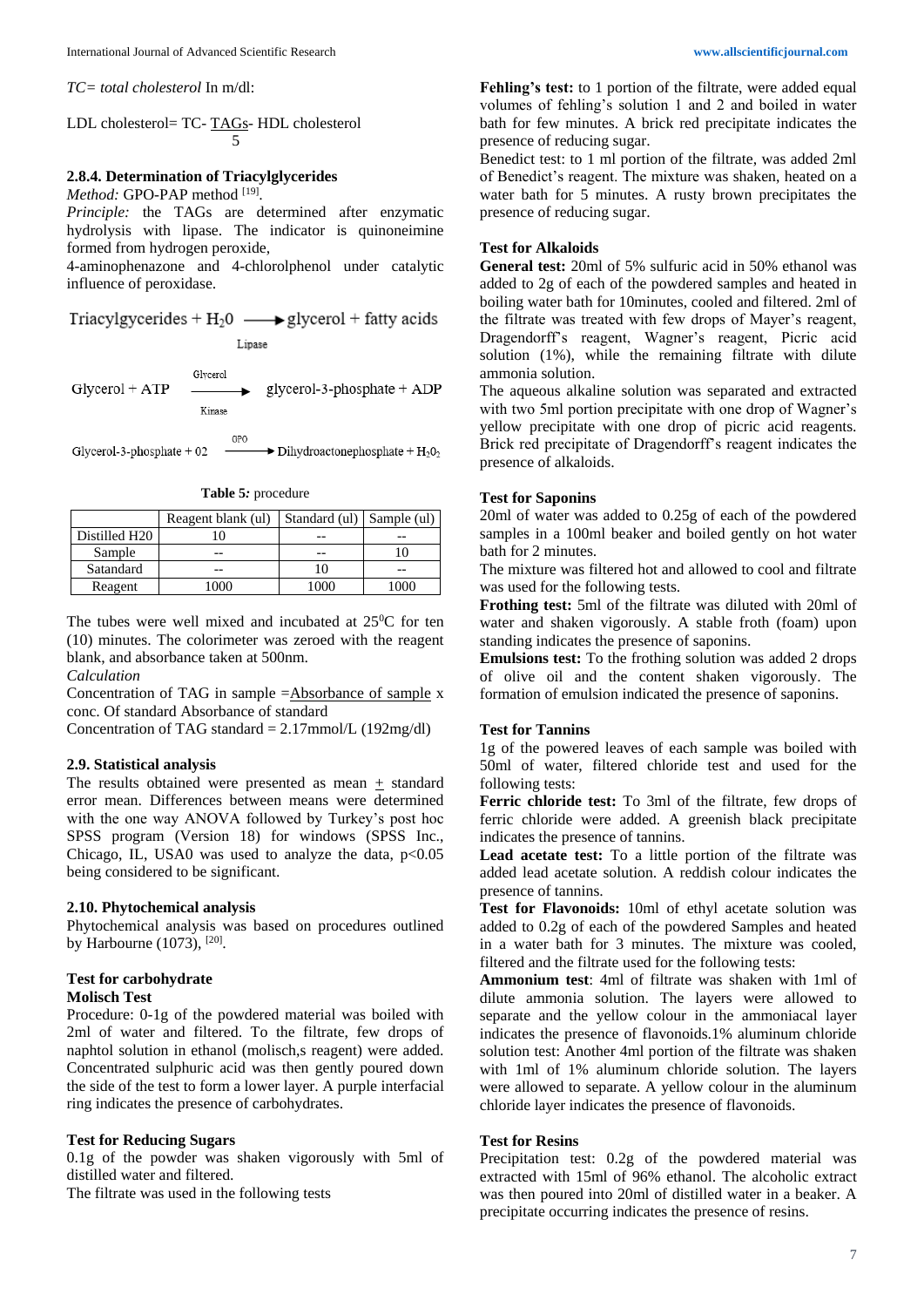*TC= total cholesterol* In m/dl:

LDL cholesterol= TC- TAGs- HDL cholesterol 5

# **2.8.4. Determination of Triacylglycerides**

Method: GPO-PAP method [19].

*Principle:* the TAGs are determined after enzymatic hydrolysis with lipase. The indicator is quinoneimine formed from hydrogen peroxide,

4-aminophenazone and 4-chlorolphenol under catalytic influence of peroxidase.

Triacylgycerides +  $H_2$ 0  $\longrightarrow$  glycerol + fatty acids

Lipase

Glycerol glycerol-3-phosphate +  $ADP$ Glycerol + ATP Kinase

GPO Glycerol-3-phosphate  $+02$  $\rightarrow$  Dihydroactonephosphate +  $H_2O_2$ 

|  | <b>Table 5:</b> procedure |
|--|---------------------------|
|--|---------------------------|

|               | Reagent blank (ul) | Standard (ul) Sample (ul) |      |  |
|---------------|--------------------|---------------------------|------|--|
| Distilled H20 |                    |                           |      |  |
| Sample        |                    |                           |      |  |
| Satandard     |                    |                           |      |  |
| Reagent       | 1000               | 1000                      | 1000 |  |

The tubes were well mixed and incubated at  $25^{\circ}$ C for ten (10) minutes. The colorimeter was zeroed with the reagent blank, and absorbance taken at 500nm.

*Calculation*

Concentration of TAG in sample =Absorbance of sample x conc. Of standard Absorbance of standard

Concentration of TAG standard =  $2.17$ mmol/L (192mg/dl)

## **2.9. Statistical analysis**

The results obtained were presented as mean  $+$  standard error mean. Differences between means were determined with the one way ANOVA followed by Turkey's post hoc SPSS program (Version 18) for windows (SPSS Inc., Chicago, IL, USA0 was used to analyze the data,  $p<0.05$ being considered to be significant.

# **2.10. Phytochemical analysis**

Phytochemical analysis was based on procedures outlined by Harbourne  $(1073)$ ,  $^{[20]}$ .

#### **Test for carbohydrate Molisch Test**

Procedure: 0-1g of the powdered material was boiled with 2ml of water and filtered. To the filtrate, few drops of naphtol solution in ethanol (molisch,s reagent) were added. Concentrated sulphuric acid was then gently poured down the side of the test to form a lower layer. A purple interfacial ring indicates the presence of carbohydrates.

## **Test for Reducing Sugars**

0.1g of the powder was shaken vigorously with 5ml of distilled water and filtered.

The filtrate was used in the following tests

**Fehling's test:** to 1 portion of the filtrate, were added equal volumes of fehling's solution 1 and 2 and boiled in water bath for few minutes. A brick red precipitate indicates the presence of reducing sugar.

Benedict test: to 1 ml portion of the filtrate, was added 2ml of Benedict's reagent. The mixture was shaken, heated on a water bath for 5 minutes. A rusty brown precipitates the presence of reducing sugar.

# **Test for Alkaloids**

**General test:** 20ml of 5% sulfuric acid in 50% ethanol was added to 2g of each of the powdered samples and heated in boiling water bath for 10minutes, cooled and filtered. 2ml of the filtrate was treated with few drops of Mayer's reagent, Dragendorff's reagent, Wagner's reagent, Picric acid solution (1%), while the remaining filtrate with dilute ammonia solution.

The aqueous alkaline solution was separated and extracted with two 5ml portion precipitate with one drop of Wagner's yellow precipitate with one drop of picric acid reagents. Brick red precipitate of Dragendorff's reagent indicates the presence of alkaloids.

#### **Test for Saponins**

20ml of water was added to 0.25g of each of the powdered samples in a 100ml beaker and boiled gently on hot water bath for 2 minutes.

The mixture was filtered hot and allowed to cool and filtrate was used for the following tests.

**Frothing test:** 5ml of the filtrate was diluted with 20ml of water and shaken vigorously. A stable froth (foam) upon standing indicates the presence of saponins.

**Emulsions test:** To the frothing solution was added 2 drops of olive oil and the content shaken vigorously. The formation of emulsion indicated the presence of saponins.

#### **Test for Tannins**

1g of the powered leaves of each sample was boiled with 50ml of water, filtered chloride test and used for the following tests:

**Ferric chloride test:** To 3ml of the filtrate, few drops of ferric chloride were added. A greenish black precipitate indicates the presence of tannins.

**Lead acetate test:** To a little portion of the filtrate was added lead acetate solution. A reddish colour indicates the presence of tannins.

**Test for Flavonoids:** 10ml of ethyl acetate solution was added to 0.2g of each of the powdered Samples and heated in a water bath for 3 minutes. The mixture was cooled, filtered and the filtrate used for the following tests:

**Ammonium test**: 4ml of filtrate was shaken with 1ml of dilute ammonia solution. The layers were allowed to separate and the yellow colour in the ammoniacal layer indicates the presence of flavonoids.1% aluminum chloride solution test: Another 4ml portion of the filtrate was shaken with 1ml of 1% aluminum chloride solution. The layers were allowed to separate. A yellow colour in the aluminum chloride layer indicates the presence of flavonoids.

#### **Test for Resins**

Precipitation test: 0.2g of the powdered material was extracted with 15ml of 96% ethanol. The alcoholic extract was then poured into 20ml of distilled water in a beaker. A precipitate occurring indicates the presence of resins.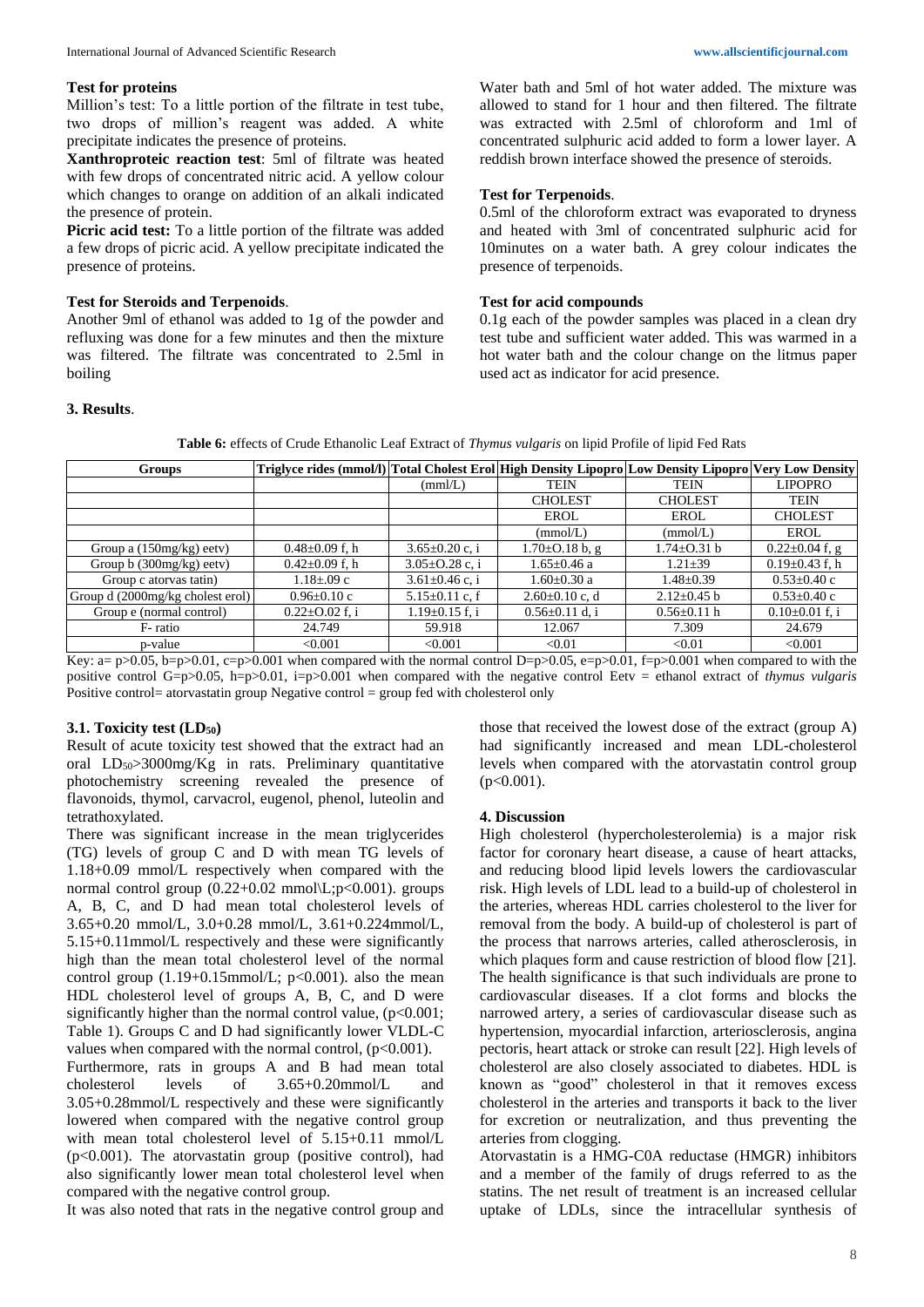#### **Test for proteins**

Million's test: To a little portion of the filtrate in test tube, two drops of million's reagent was added. A white precipitate indicates the presence of proteins.

**Xanthroproteic reaction test**: 5ml of filtrate was heated with few drops of concentrated nitric acid. A yellow colour which changes to orange on addition of an alkali indicated the presence of protein.

**Picric acid test:** To a little portion of the filtrate was added a few drops of picric acid. A yellow precipitate indicated the presence of proteins.

#### **Test for Steroids and Terpenoids**.

Another 9ml of ethanol was added to 1g of the powder and refluxing was done for a few minutes and then the mixture was filtered. The filtrate was concentrated to 2.5ml in boiling

Water bath and 5ml of hot water added. The mixture was allowed to stand for 1 hour and then filtered. The filtrate was extracted with 2.5ml of chloroform and 1ml of concentrated sulphuric acid added to form a lower layer. A reddish brown interface showed the presence of steroids.

#### **Test for Terpenoids**.

0.5ml of the chloroform extract was evaporated to dryness and heated with 3ml of concentrated sulphuric acid for 10minutes on a water bath. A grey colour indicates the presence of terpenoids.

#### **Test for acid compounds**

0.1g each of the powder samples was placed in a clean dry test tube and sufficient water added. This was warmed in a hot water bath and the colour change on the litmus paper used act as indicator for acid presence.

#### **3. Results**.

| <b>Groups</b>                    | Triglyce rides (mmol/l) Total Cholest Erol High Density Lipopro Low Density Lipopro Very Low Density |                      |                      |                   |                      |
|----------------------------------|------------------------------------------------------------------------------------------------------|----------------------|----------------------|-------------------|----------------------|
|                                  |                                                                                                      | (mm/L)               | <b>TEIN</b>          | <b>TEIN</b>       | <b>LIPOPRO</b>       |
|                                  |                                                                                                      |                      | <b>CHOLEST</b>       | <b>CHOLEST</b>    | <b>TEIN</b>          |
|                                  |                                                                                                      |                      | EROL                 | <b>EROL</b>       | <b>CHOLEST</b>       |
|                                  |                                                                                                      |                      | (mmol/L)             | (mmol/L)          | <b>EROL</b>          |
| Group a $(150mg/kg)$ eetv)       | $0.48 \pm 0.09$ f, h                                                                                 | $3.65 \pm 0.20$ c, i | $1.70\pm0.18$ b, g   | 1.74±0.31 b       | $0.22 \pm 0.04$ f, g |
| Group $b(300mg/kg)$ eetv)        | $0.42 \pm 0.09$ f, h                                                                                 | $3.05 \pm 0.28$ c, i | $1.65 \pm 0.46$ a    | $1.21 \pm 39$     | $0.19 \pm 0.43$ f, h |
| Group c atorvas tatin)           | $1.18 \pm 0.09$ c                                                                                    | $3.61 \pm 0.46$ c, i | 1.60±0.30 a          | $1.48 \pm 0.39$   | $0.53 \pm 0.40$ c    |
| Group d (2000mg/kg cholest erol) | $0.96 \pm 0.10$ c                                                                                    | $5.15 \pm 0.11$ c, f | $2.60 \pm 0.10$ c, d | $2.12 \pm 0.45$ b | $0.53 \pm 0.40$ c    |
| Group e (normal control)         | $0.22 \pm 0.02$ f, i                                                                                 | $1.19 \pm 0.15$ f, i | $0.56 \pm 0.11$ d, i | $0.56 \pm 0.11$ h | $0.10\pm0.01$ f, i   |
| F-ratio                          | 24.749                                                                                               | 59.918               | 12.067               | 7.309             | 24.679               |
| p-value                          | < 0.001                                                                                              | < 0.001              | < 0.01               | < 0.01            | < 0.001              |

Key: a= p>0.05, b=p>0.01, c=p>0.001 when compared with the normal control D=p>0.05, e=p>0.01, f=p>0.001 when compared to with the positive control G=p>0.05, h=p>0.01, i=p>0.001 when compared with the negative control Eetv = ethanol extract of *thymus vulgaris* Positive control= atorvastatin group Negative control = group fed with cholesterol only

#### **3.1. Toxicity test (LD50)**

Result of acute toxicity test showed that the extract had an oral  $LD_{50} > 3000$ mg/Kg in rats. Preliminary quantitative photochemistry screening revealed the presence of flavonoids, thymol, carvacrol, eugenol, phenol, luteolin and tetrathoxylated.

There was significant increase in the mean triglycerides (TG) levels of group C and D with mean TG levels of 1.18+0.09 mmol/L respectively when compared with the normal control group  $(0.22+0.02 \text{ mmol}\L;p<0.001)$ . groups A, B, C, and D had mean total cholesterol levels of 3.65+0.20 mmol/L, 3.0+0.28 mmol/L, 3.61+0.224mmol/L, 5.15+0.11mmol/L respectively and these were significantly high than the mean total cholesterol level of the normal control group  $(1.19+0.15$ mmol/L;  $p<0.001$ ). also the mean HDL cholesterol level of groups A, B, C, and D were significantly higher than the normal control value,  $(p<0.001)$ ; Table 1). Groups C and D had significantly lower VLDL-C values when compared with the normal control,  $(p<0.001)$ . Furthermore, rats in groups A and B had mean total cholesterol levels of 3.65+0.20mmol/L and

3.05+0.28mmol/L respectively and these were significantly lowered when compared with the negative control group with mean total cholesterol level of 5.15+0.11 mmol/L (p<0.001). The atorvastatin group (positive control), had also significantly lower mean total cholesterol level when compared with the negative control group.

It was also noted that rats in the negative control group and

those that received the lowest dose of the extract (group A) had significantly increased and mean LDL-cholesterol levels when compared with the atorvastatin control group  $(p<0.001)$ .

#### **4. Discussion**

High cholesterol (hypercholesterolemia) is a major risk factor for coronary heart disease, a cause of heart attacks, and reducing blood lipid levels lowers the cardiovascular risk. High levels of LDL lead to a build-up of cholesterol in the arteries, whereas HDL carries cholesterol to the liver for removal from the body. A build-up of cholesterol is part of the process that narrows arteries, called atherosclerosis, in which plaques form and cause restriction of blood flow [21]. The health significance is that such individuals are prone to cardiovascular diseases. If a clot forms and blocks the narrowed artery, a series of cardiovascular disease such as hypertension, myocardial infarction, arteriosclerosis, angina pectoris, heart attack or stroke can result [22]. High levels of cholesterol are also closely associated to diabetes. HDL is known as "good" cholesterol in that it removes excess cholesterol in the arteries and transports it back to the liver for excretion or neutralization, and thus preventing the arteries from clogging.

Atorvastatin is a HMG-C0A reductase (HMGR) inhibitors and a member of the family of drugs referred to as the statins. The net result of treatment is an increased cellular uptake of LDLs, since the intracellular synthesis of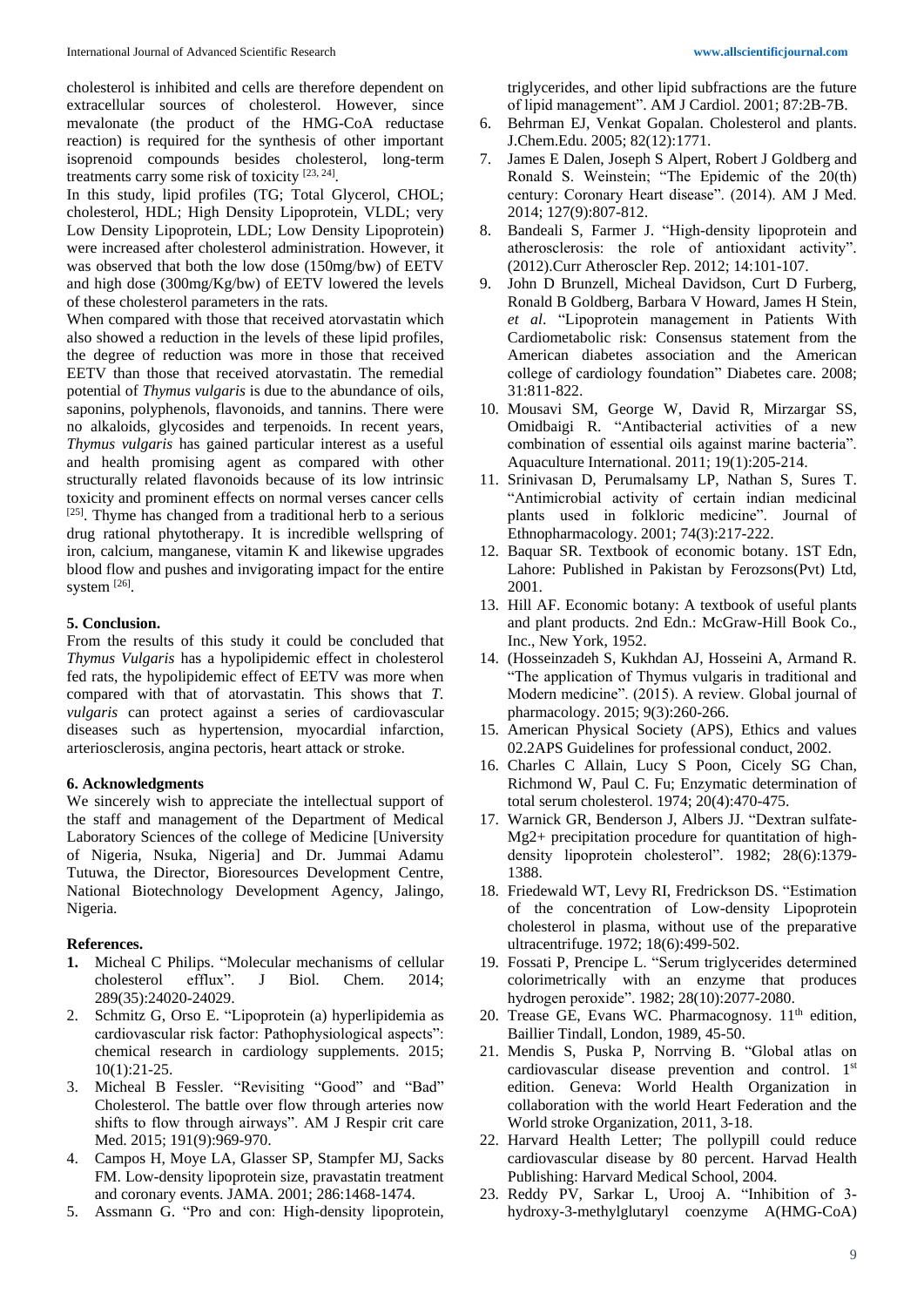cholesterol is inhibited and cells are therefore dependent on extracellular sources of cholesterol. However, since mevalonate (the product of the HMG-CoA reductase reaction) is required for the synthesis of other important isoprenoid compounds besides cholesterol, long-term treatments carry some risk of toxicity [23, 24].

In this study, lipid profiles (TG; Total Glycerol, CHOL; cholesterol, HDL; High Density Lipoprotein, VLDL; very Low Density Lipoprotein, LDL; Low Density Lipoprotein) were increased after cholesterol administration. However, it was observed that both the low dose (150mg/bw) of EETV and high dose (300mg/Kg/bw) of EETV lowered the levels of these cholesterol parameters in the rats.

When compared with those that received atorvastatin which also showed a reduction in the levels of these lipid profiles, the degree of reduction was more in those that received EETV than those that received atorvastatin. The remedial potential of *Thymus vulgaris* is due to the abundance of oils, saponins, polyphenols, flavonoids, and tannins. There were no alkaloids, glycosides and terpenoids. In recent years, *Thymus vulgaris* has gained particular interest as a useful and health promising agent as compared with other structurally related flavonoids because of its low intrinsic toxicity and prominent effects on normal verses cancer cells [25]. Thyme has changed from a traditional herb to a serious drug rational phytotherapy. It is incredible wellspring of iron, calcium, manganese, vitamin K and likewise upgrades blood flow and pushes and invigorating impact for the entire system [26].

# **5. Conclusion.**

From the results of this study it could be concluded that *Thymus Vulgaris* has a hypolipidemic effect in cholesterol fed rats, the hypolipidemic effect of EETV was more when compared with that of atorvastatin. This shows that *T. vulgaris* can protect against a series of cardiovascular diseases such as hypertension, myocardial infarction, arteriosclerosis, angina pectoris, heart attack or stroke.

## **6. Acknowledgments**

We sincerely wish to appreciate the intellectual support of the staff and management of the Department of Medical Laboratory Sciences of the college of Medicine [University of Nigeria, Nsuka, Nigeria] and Dr. Jummai Adamu Tutuwa, the Director, Bioresources Development Centre, National Biotechnology Development Agency, Jalingo, Nigeria.

## **References.**

- **1.** Micheal C Philips. "Molecular mechanisms of cellular cholesterol efflux". J Biol. Chem. 2014; 289(35):24020-24029.
- 2. Schmitz G, Orso E. "Lipoprotein (a) hyperlipidemia as cardiovascular risk factor: Pathophysiological aspects": chemical research in cardiology supplements. 2015; 10(1):21-25.
- 3. Micheal B Fessler. "Revisiting "Good" and "Bad" Cholesterol. The battle over flow through arteries now shifts to flow through airways". AM J Respir crit care Med. 2015; 191(9):969-970.
- 4. Campos H, Moye LA, Glasser SP, Stampfer MJ, Sacks FM. Low-density lipoprotein size, pravastatin treatment and coronary events. JAMA. 2001; 286:1468-1474.
- 5. Assmann G. "Pro and con: High-density lipoprotein,

triglycerides, and other lipid subfractions are the future of lipid management". AM J Cardiol. 2001; 87:2B-7B.

- 6. Behrman EJ, Venkat Gopalan. Cholesterol and plants. J.Chem.Edu. 2005; 82(12):1771.
- 7. James E Dalen, Joseph S Alpert, Robert J Goldberg and Ronald S. Weinstein; "The Epidemic of the 20(th) century: Coronary Heart disease". (2014). AM J Med. 2014; 127(9):807-812.
- 8. Bandeali S, Farmer J. "High-density lipoprotein and atherosclerosis: the role of antioxidant activity". (2012).Curr Atheroscler Rep. 2012; 14:101-107.
- 9. John D Brunzell, Micheal Davidson, Curt D Furberg, Ronald B Goldberg, Barbara V Howard, James H Stein, *et al*. "Lipoprotein management in Patients With Cardiometabolic risk: Consensus statement from the American diabetes association and the American college of cardiology foundation" Diabetes care. 2008; 31:811-822.
- 10. Mousavi SM, George W, David R, Mirzargar SS, Omidbaigi R. "Antibacterial activities of a new combination of essential oils against marine bacteria". Aquaculture International. 2011; 19(1):205-214.
- 11. Srinivasan D, Perumalsamy LP, Nathan S, Sures T. "Antimicrobial activity of certain indian medicinal plants used in folkloric medicine". Journal of Ethnopharmacology. 2001; 74(3):217-222.
- 12. Baquar SR. Textbook of economic botany. 1ST Edn, Lahore: Published in Pakistan by Ferozsons(Pvt) Ltd, 2001.
- 13. Hill AF. Economic botany: A textbook of useful plants and plant products. 2nd Edn.: McGraw-Hill Book Co., Inc., New York, 1952.
- 14. (Hosseinzadeh S, Kukhdan AJ, Hosseini A, Armand R. "The application of Thymus vulgaris in traditional and Modern medicine". (2015). A review. Global journal of pharmacology. 2015; 9(3):260-266.
- 15. American Physical Society (APS), Ethics and values 02.2APS Guidelines for professional conduct, 2002.
- 16. Charles C Allain, Lucy S Poon, Cicely SG Chan, Richmond W, Paul C. Fu; Enzymatic determination of total serum cholesterol. 1974; 20(4):470-475.
- 17. Warnick GR, Benderson J, Albers JJ. "Dextran sulfate-Mg2+ precipitation procedure for quantitation of highdensity lipoprotein cholesterol". 1982; 28(6):1379- 1388.
- 18. Friedewald WT, Levy RI, Fredrickson DS. "Estimation of the concentration of Low-density Lipoprotein cholesterol in plasma, without use of the preparative ultracentrifuge. 1972; 18(6):499-502.
- 19. Fossati P, Prencipe L. "Serum triglycerides determined colorimetrically with an enzyme that produces hydrogen peroxide". 1982; 28(10):2077-2080.
- 20. Trease GE, Evans WC. Pharmacognosy.  $11<sup>th</sup>$  edition, Baillier Tindall, London, 1989, 45-50.
- 21. Mendis S, Puska P, Norrving B. "Global atlas on cardiovascular disease prevention and control. 1st edition. Geneva: World Health Organization in collaboration with the world Heart Federation and the World stroke Organization, 2011, 3-18.
- 22. Harvard Health Letter; The pollypill could reduce cardiovascular disease by 80 percent. Harvad Health Publishing: Harvard Medical School, 2004.
- 23. Reddy PV, Sarkar L, Urooj A. "Inhibition of 3 hydroxy-3-methylglutaryl coenzyme A(HMG-CoA)